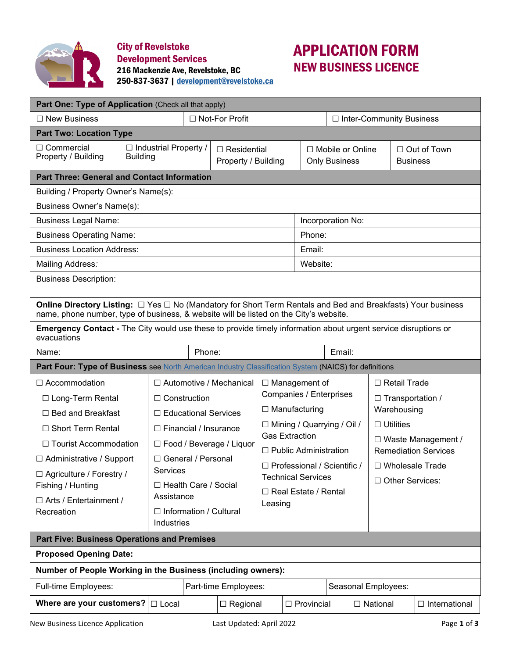

City of Revelstoke Development Services 216 Mackenzie Ave, Revelstoke, BC 250-837-3637 [| development@revelstoke.ca](mailto:development@revelstoke.ca)

## APPLICATION FORM NEW BUSINESS LICENCE

| Part One: Type of Application (Check all that apply)                                                                                                                                                         |                                                 |                                             |                             |                                           |                                                                                      |  |                                                 |                   |                   |                                                          |                                        |  |  |
|--------------------------------------------------------------------------------------------------------------------------------------------------------------------------------------------------------------|-------------------------------------------------|---------------------------------------------|-----------------------------|-------------------------------------------|--------------------------------------------------------------------------------------|--|-------------------------------------------------|-------------------|-------------------|----------------------------------------------------------|----------------------------------------|--|--|
| $\Box$ New Business                                                                                                                                                                                          | □ Not-For Profit                                |                                             |                             |                                           |                                                                                      |  | □ Inter-Community Business                      |                   |                   |                                                          |                                        |  |  |
| <b>Part Two: Location Type</b>                                                                                                                                                                               |                                                 |                                             |                             |                                           |                                                                                      |  |                                                 |                   |                   |                                                          |                                        |  |  |
| $\Box$ Commercial<br>Property / Building                                                                                                                                                                     | $\Box$ Industrial Property /<br><b>Building</b> |                                             |                             | $\Box$ Residential<br>Property / Building |                                                                                      |  | $\Box$ Mobile or Online<br><b>Only Business</b> |                   |                   |                                                          | □ Out of Town<br><b>Business</b>       |  |  |
| <b>Part Three: General and Contact Information</b>                                                                                                                                                           |                                                 |                                             |                             |                                           |                                                                                      |  |                                                 |                   |                   |                                                          |                                        |  |  |
| Building / Property Owner's Name(s):                                                                                                                                                                         |                                                 |                                             |                             |                                           |                                                                                      |  |                                                 |                   |                   |                                                          |                                        |  |  |
| Business Owner's Name(s):                                                                                                                                                                                    |                                                 |                                             |                             |                                           |                                                                                      |  |                                                 |                   |                   |                                                          |                                        |  |  |
| <b>Business Legal Name:</b><br>Incorporation No:                                                                                                                                                             |                                                 |                                             |                             |                                           |                                                                                      |  |                                                 |                   |                   |                                                          |                                        |  |  |
| <b>Business Operating Name:</b><br>Phone:                                                                                                                                                                    |                                                 |                                             |                             |                                           |                                                                                      |  |                                                 |                   |                   |                                                          |                                        |  |  |
| <b>Business Location Address:</b><br>Email:                                                                                                                                                                  |                                                 |                                             |                             |                                           |                                                                                      |  |                                                 |                   |                   |                                                          |                                        |  |  |
| Mailing Address:<br>Website:                                                                                                                                                                                 |                                                 |                                             |                             |                                           |                                                                                      |  |                                                 |                   |                   |                                                          |                                        |  |  |
| <b>Business Description:</b>                                                                                                                                                                                 |                                                 |                                             |                             |                                           |                                                                                      |  |                                                 |                   |                   |                                                          |                                        |  |  |
| <b>Online Directory Listing:</b> □ Yes □ No (Mandatory for Short Term Rentals and Bed and Breakfasts) Your business<br>name, phone number, type of business, & website will be listed on the City's website. |                                                 |                                             |                             |                                           |                                                                                      |  |                                                 |                   |                   |                                                          |                                        |  |  |
| <b>Emergency Contact</b> - The City would use these to provide timely information about urgent service disruptions or<br>evacuations                                                                         |                                                 |                                             |                             |                                           |                                                                                      |  |                                                 |                   |                   |                                                          |                                        |  |  |
| Phone:<br>Email:<br>Name:                                                                                                                                                                                    |                                                 |                                             |                             |                                           |                                                                                      |  |                                                 |                   |                   |                                                          |                                        |  |  |
| Part Four: Type of Business see North American Industry Classification System (NAICS) for definitions                                                                                                        |                                                 |                                             |                             |                                           |                                                                                      |  |                                                 |                   |                   |                                                          |                                        |  |  |
| $\Box$ Accommodation                                                                                                                                                                                         |                                                 |                                             |                             | □ Automotive / Mechanical                 |                                                                                      |  | $\Box$ Management of                            |                   |                   | $\Box$ Retail Trade                                      |                                        |  |  |
| □ Long-Term Rental                                                                                                                                                                                           |                                                 | $\Box$ Construction                         |                             |                                           | Companies / Enterprises<br>$\Box$ Manufacturing<br>$\Box$ Mining / Quarrying / Oil / |  |                                                 |                   |                   |                                                          | $\Box$ Transportation /<br>Warehousing |  |  |
| $\Box$ Bed and Breakfast                                                                                                                                                                                     |                                                 | □ Educational Services                      |                             |                                           |                                                                                      |  |                                                 |                   |                   |                                                          |                                        |  |  |
| $\Box$ Short Term Rental                                                                                                                                                                                     |                                                 | $\Box$ Financial / Insurance                |                             |                                           |                                                                                      |  |                                                 |                   | $\Box$ Utilities  |                                                          |                                        |  |  |
| $\Box$ Tourist Accommodation                                                                                                                                                                                 |                                                 |                                             |                             | □ Food / Beverage / Liquor                | <b>Gas Extraction</b>                                                                |  |                                                 |                   |                   | $\Box$ Waste Management /<br><b>Remediation Services</b> |                                        |  |  |
| $\Box$ Administrative / Support                                                                                                                                                                              |                                                 |                                             | □ General / Personal        |                                           | $\Box$ Public Administration<br>$\Box$ Professional / Scientific /                   |  |                                                 | □ Wholesale Trade |                   |                                                          |                                        |  |  |
| □ Agriculture / Forestry /                                                                                                                                                                                   |                                                 | Services                                    |                             |                                           | <b>Technical Services</b>                                                            |  |                                                 |                   | □ Other Services: |                                                          |                                        |  |  |
| Fishing / Hunting                                                                                                                                                                                            |                                                 |                                             | $\Box$ Health Care / Social |                                           | $\Box$ Real Estate / Rental                                                          |  |                                                 |                   |                   |                                                          |                                        |  |  |
| $\Box$ Arts / Entertainment /                                                                                                                                                                                |                                                 | Assistance                                  |                             | Leasing                                   |                                                                                      |  |                                                 |                   |                   |                                                          |                                        |  |  |
| Recreation                                                                                                                                                                                                   |                                                 | $\Box$ Information / Cultural<br>Industries |                             |                                           |                                                                                      |  |                                                 |                   |                   |                                                          |                                        |  |  |
|                                                                                                                                                                                                              |                                                 |                                             |                             |                                           |                                                                                      |  |                                                 |                   |                   |                                                          |                                        |  |  |
|                                                                                                                                                                                                              |                                                 |                                             |                             |                                           |                                                                                      |  |                                                 |                   |                   |                                                          |                                        |  |  |
| <b>Part Five: Business Operations and Premises</b><br><b>Proposed Opening Date:</b>                                                                                                                          |                                                 |                                             |                             |                                           |                                                                                      |  |                                                 |                   |                   |                                                          |                                        |  |  |
| Number of People Working in the Business (including owners):                                                                                                                                                 |                                                 |                                             |                             |                                           |                                                                                      |  |                                                 |                   |                   |                                                          |                                        |  |  |
| Full-time Employees:                                                                                                                                                                                         |                                                 |                                             |                             | Part-time Employees:                      |                                                                                      |  |                                                 |                   |                   | Seasonal Employees:                                      |                                        |  |  |
| Where are your customers?                                                                                                                                                                                    |                                                 | $\Box$ Local                                |                             | $\Box$ Regional                           |                                                                                      |  | $\Box$ Provincial                               |                   |                   | $\Box$ National                                          | $\Box$ International                   |  |  |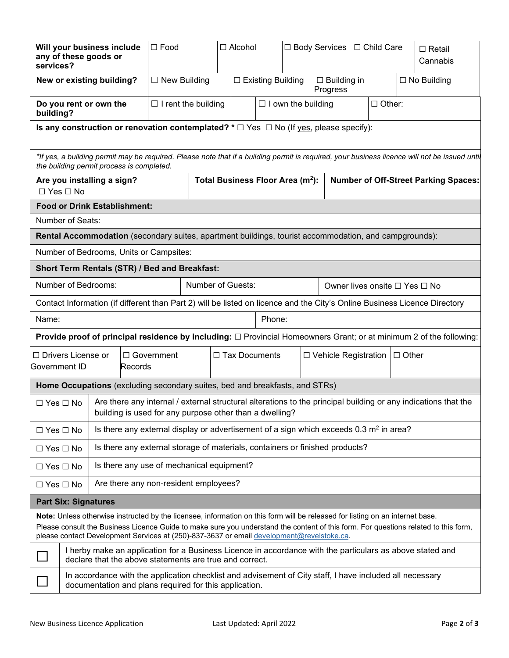| Will your business include<br>any of these goods or<br>services?                                                                                                                                                                                                                                                                                                  | $\square$ Food                                                                                                                                                       | $\Box$ Alcohol              |                           | □ Body Services   □ Child Care | $\Box$ Retail<br>Cannabis |  |  |  |  |
|-------------------------------------------------------------------------------------------------------------------------------------------------------------------------------------------------------------------------------------------------------------------------------------------------------------------------------------------------------------------|----------------------------------------------------------------------------------------------------------------------------------------------------------------------|-----------------------------|---------------------------|--------------------------------|---------------------------|--|--|--|--|
| New or existing building?                                                                                                                                                                                                                                                                                                                                         | $\Box$ New Building                                                                                                                                                  | $\square$ Existing Building |                           | $\Box$ Building in<br>Progress | $\square$ No Building     |  |  |  |  |
| Do you rent or own the<br>building?                                                                                                                                                                                                                                                                                                                               | $\Box$ I rent the building                                                                                                                                           |                             | $\Box$ I own the building | $\Box$ Other:                  |                           |  |  |  |  |
| Is any construction or renovation contemplated? $* \Box$ Yes $\Box$ No (If yes, please specify):                                                                                                                                                                                                                                                                  |                                                                                                                                                                      |                             |                           |                                |                           |  |  |  |  |
| *If yes, a building permit may be required. Please note that if a building permit is required, your business licence will not be issued until<br>the building permit process is completed.                                                                                                                                                                        |                                                                                                                                                                      |                             |                           |                                |                           |  |  |  |  |
| Total Business Floor Area (m <sup>2</sup> ):<br><b>Number of Off-Street Parking Spaces:</b><br>Are you installing a sign?<br>$\Box$ Yes $\Box$ No                                                                                                                                                                                                                 |                                                                                                                                                                      |                             |                           |                                |                           |  |  |  |  |
| <b>Food or Drink Establishment:</b>                                                                                                                                                                                                                                                                                                                               |                                                                                                                                                                      |                             |                           |                                |                           |  |  |  |  |
| Number of Seats:                                                                                                                                                                                                                                                                                                                                                  |                                                                                                                                                                      |                             |                           |                                |                           |  |  |  |  |
| Rental Accommodation (secondary suites, apartment buildings, tourist accommodation, and campgrounds):                                                                                                                                                                                                                                                             |                                                                                                                                                                      |                             |                           |                                |                           |  |  |  |  |
| Number of Bedrooms, Units or Campsites:                                                                                                                                                                                                                                                                                                                           |                                                                                                                                                                      |                             |                           |                                |                           |  |  |  |  |
| Short Term Rentals (STR) / Bed and Breakfast:                                                                                                                                                                                                                                                                                                                     |                                                                                                                                                                      |                             |                           |                                |                           |  |  |  |  |
| Number of Bedrooms:                                                                                                                                                                                                                                                                                                                                               | Number of Guests:                                                                                                                                                    |                             |                           | Owner lives onsite □ Yes □ No  |                           |  |  |  |  |
| Contact Information (if different than Part 2) will be listed on licence and the City's Online Business Licence Directory                                                                                                                                                                                                                                         |                                                                                                                                                                      |                             |                           |                                |                           |  |  |  |  |
| Phone:<br>Name:                                                                                                                                                                                                                                                                                                                                                   |                                                                                                                                                                      |                             |                           |                                |                           |  |  |  |  |
| Provide proof of principal residence by including: □ Provincial Homeowners Grant; or at minimum 2 of the following:                                                                                                                                                                                                                                               |                                                                                                                                                                      |                             |                           |                                |                           |  |  |  |  |
| $\Box$ Drivers License or<br>Government ID<br>Records                                                                                                                                                                                                                                                                                                             | $\Box$ Government                                                                                                                                                    | □ Tax Documents             |                           | $\Box$ Vehicle Registration    | $\Box$ Other              |  |  |  |  |
| Home Occupations (excluding secondary suites, bed and breakfasts, and STRs)                                                                                                                                                                                                                                                                                       |                                                                                                                                                                      |                             |                           |                                |                           |  |  |  |  |
| Are there any internal / external structural alterations to the principal building or any indications that the<br>$\Box$ Yes $\Box$ No<br>building is used for any purpose other than a dwelling?                                                                                                                                                                 |                                                                                                                                                                      |                             |                           |                                |                           |  |  |  |  |
| $\Box$ Yes $\Box$ No                                                                                                                                                                                                                                                                                                                                              | Is there any external display or advertisement of a sign which exceeds $0.3 \text{ m}^2$ in area?                                                                    |                             |                           |                                |                           |  |  |  |  |
| $\Box$ Yes $\Box$ No                                                                                                                                                                                                                                                                                                                                              | Is there any external storage of materials, containers or finished products?                                                                                         |                             |                           |                                |                           |  |  |  |  |
| $\Box$ Yes $\Box$ No                                                                                                                                                                                                                                                                                                                                              | Is there any use of mechanical equipment?                                                                                                                            |                             |                           |                                |                           |  |  |  |  |
| $\Box$ Yes $\Box$ No                                                                                                                                                                                                                                                                                                                                              | Are there any non-resident employees?                                                                                                                                |                             |                           |                                |                           |  |  |  |  |
| <b>Part Six: Signatures</b>                                                                                                                                                                                                                                                                                                                                       |                                                                                                                                                                      |                             |                           |                                |                           |  |  |  |  |
| Note: Unless otherwise instructed by the licensee, information on this form will be released for listing on an internet base.<br>Please consult the Business Licence Guide to make sure you understand the content of this form. For questions related to this form,<br>please contact Development Services at (250)-837-3637 or email development@revelstoke.ca. |                                                                                                                                                                      |                             |                           |                                |                           |  |  |  |  |
|                                                                                                                                                                                                                                                                                                                                                                   | I herby make an application for a Business Licence in accordance with the particulars as above stated and<br>declare that the above statements are true and correct. |                             |                           |                                |                           |  |  |  |  |
| In accordance with the application checklist and advisement of City staff, I have included all necessary<br>documentation and plans required for this application.                                                                                                                                                                                                |                                                                                                                                                                      |                             |                           |                                |                           |  |  |  |  |